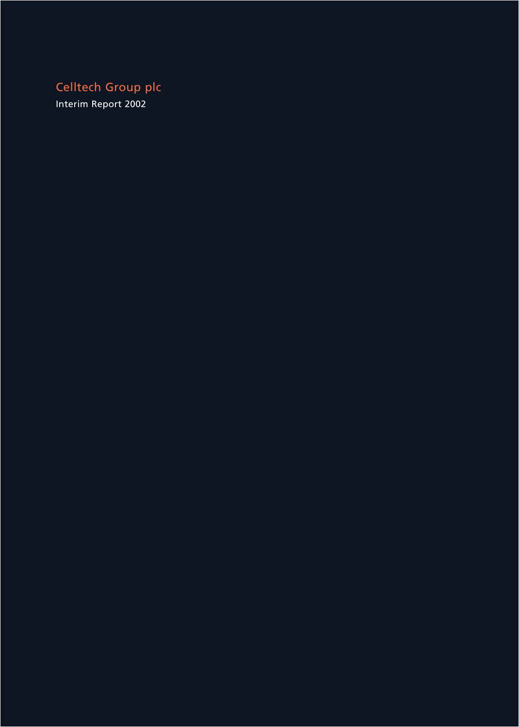Celltech Group plc

Interim Report 2002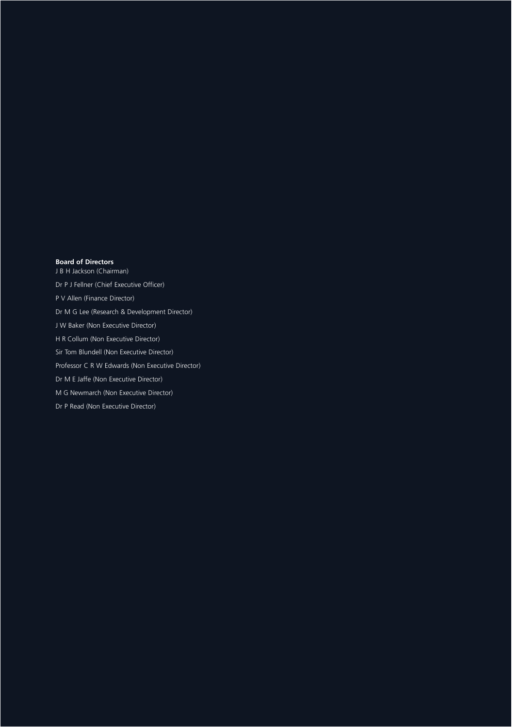### **Board of Directors**

J B H Jackson (Chairman)

Dr P J Fellner (Chief Executive Officer)

P V Allen (Finance Director)

Dr M G Lee (Research & Development Director)

J W Baker (Non Executive Director)

H R Collum (Non Executive Director)

Sir Tom Blundell (Non Executive Director)

Professor C R W Edwards (Non Executive Director)

Dr M E Jaffe (Non Executive Director)

M G Newmarch (Non Executive Director)

Dr P Read (Non Executive Director)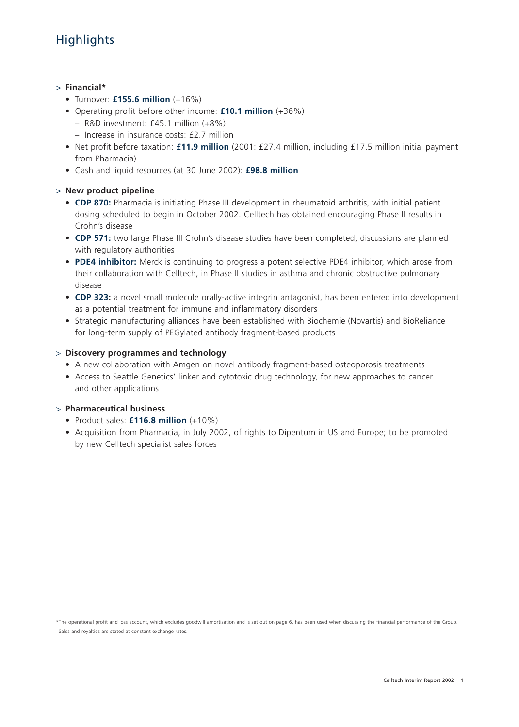# **Highlights**

### > **Financial\***

- Turnover: **£155.6 million** (+16%)
- Operating profit before other income: **£10.1 million** (+36%)
	- R&D investment: £45.1 million (+8%)
	- Increase in insurance costs: £2.7 million
- Net profit before taxation: **£11.9 million** (2001: £27.4 million, including £17.5 million initial payment from Pharmacia)
- Cash and liquid resources (at 30 June 2002): **£98.8 million**

### > **New product pipeline**

- **CDP 870:** Pharmacia is initiating Phase III development in rheumatoid arthritis, with initial patient dosing scheduled to begin in October 2002. Celltech has obtained encouraging Phase II results in Crohn's disease
- **CDP 571:** two large Phase III Crohn's disease studies have been completed; discussions are planned with regulatory authorities
- **PDE4 inhibitor:** Merck is continuing to progress a potent selective PDE4 inhibitor, which arose from their collaboration with Celltech, in Phase II studies in asthma and chronic obstructive pulmonary disease
- **CDP 323:** a novel small molecule orally-active integrin antagonist, has been entered into development as a potential treatment for immune and inflammatory disorders
- Strategic manufacturing alliances have been established with Biochemie (Novartis) and BioReliance for long-term supply of PEGylated antibody fragment-based products

### > **Discovery programmes and technology**

- A new collaboration with Amgen on novel antibody fragment-based osteoporosis treatments
- Access to Seattle Genetics' linker and cytotoxic drug technology, for new approaches to cancer and other applications

### > **Pharmaceutical business**

- Product sales: **£116.8 million** (+10%)
- Acquisition from Pharmacia, in July 2002, of rights to Dipentum in US and Europe; to be promoted by new Celltech specialist sales forces

\*The operational profit and loss account, which excludes goodwill amortisation and is set out on page 6, has been used when discussing the financial performance of the Group. Sales and royalties are stated at constant exchange rates.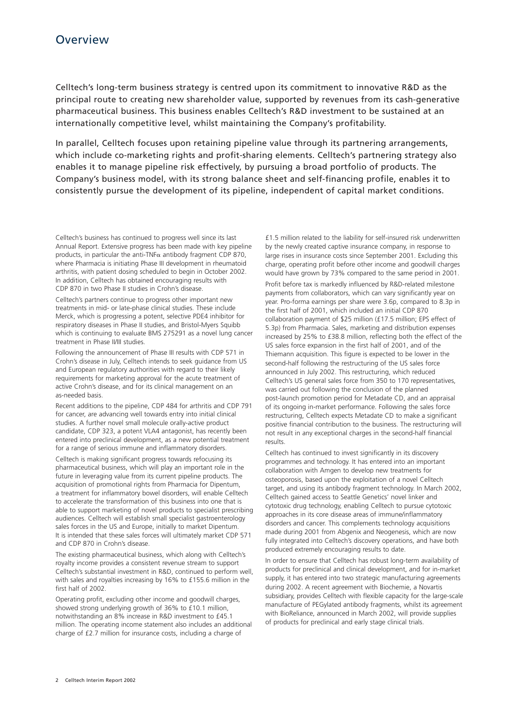Celltech's long-term business strategy is centred upon its commitment to innovative R&D as the principal route to creating new shareholder value, supported by revenues from its cash-generative pharmaceutical business. This business enables Celltech's R&D investment to be sustained at an internationally competitive level, whilst maintaining the Company's profitability.

In parallel, Celltech focuses upon retaining pipeline value through its partnering arrangements, which include co-marketing rights and profit-sharing elements. Celltech's partnering strategy also enables it to manage pipeline risk effectively, by pursuing a broad portfolio of products. The Company's business model, with its strong balance sheet and self-financing profile, enables it to consistently pursue the development of its pipeline, independent of capital market conditions.

Celltech's business has continued to progress well since its last Annual Report. Extensive progress has been made with key pipeline products, in particular the anti-TNF $\alpha$  antibody fragment CDP 870, where Pharmacia is initiating Phase III development in rheumatoid arthritis, with patient dosing scheduled to begin in October 2002. In addition, Celltech has obtained encouraging results with CDP 870 in two Phase II studies in Crohn's disease.

Celltech's partners continue to progress other important new treatments in mid- or late-phase clinical studies. These include Merck, which is progressing a potent, selective PDE4 inhibitor for respiratory diseases in Phase II studies, and Bristol-Myers Squibb which is continuing to evaluate BMS 275291 as a novel lung cancer treatment in Phase II/III studies.

Following the announcement of Phase III results with CDP 571 in Crohn's disease in July, Celltech intends to seek guidance from US and European regulatory authorities with regard to their likely requirements for marketing approval for the acute treatment of active Crohn's disease, and for its clinical management on an as-needed basis.

Recent additions to the pipeline, CDP 484 for arthritis and CDP 791 for cancer, are advancing well towards entry into initial clinical studies. A further novel small molecule orally-active product candidate, CDP 323, a potent VLA4 antagonist, has recently been entered into preclinical development, as a new potential treatment for a range of serious immune and inflammatory disorders.

Celltech is making significant progress towards refocusing its pharmaceutical business, which will play an important role in the future in leveraging value from its current pipeline products. The acquisition of promotional rights from Pharmacia for Dipentum, a treatment for inflammatory bowel disorders, will enable Celltech to accelerate the transformation of this business into one that is able to support marketing of novel products to specialist prescribing audiences. Celltech will establish small specialist gastroenterology sales forces in the US and Europe, initially to market Dipentum. It is intended that these sales forces will ultimately market CDP 571 and CDP 870 in Crohn's disease.

The existing pharmaceutical business, which along with Celltech's royalty income provides a consistent revenue stream to support Celltech's substantial investment in R&D, continued to perform well, with sales and royalties increasing by 16% to £155.6 million in the first half of 2002.

Operating profit, excluding other income and goodwill charges, showed strong underlying growth of 36% to £10.1 million, notwithstanding an 8% increase in R&D investment to £45.1 million. The operating income statement also includes an additional charge of £2.7 million for insurance costs, including a charge of

£1.5 million related to the liability for self-insured risk underwritten by the newly created captive insurance company, in response to large rises in insurance costs since September 2001. Excluding this charge, operating profit before other income and goodwill charges would have grown by 73% compared to the same period in 2001.

Profit before tax is markedly influenced by R&D-related milestone payments from collaborators, which can vary significantly year on year. Pro-forma earnings per share were 3.6p, compared to 8.3p in the first half of 2001, which included an initial CDP 870 collaboration payment of \$25 million (£17.5 million; EPS effect of 5.3p) from Pharmacia. Sales, marketing and distribution expenses increased by 25% to £38.8 million, reflecting both the effect of the US sales force expansion in the first half of 2001, and of the Thiemann acquisition. This figure is expected to be lower in the second-half following the restructuring of the US sales force announced in July 2002. This restructuring, which reduced Celltech's US general sales force from 350 to 170 representatives, was carried out following the conclusion of the planned post-launch promotion period for Metadate CD, and an appraisal of its ongoing in-market performance. Following the sales force restructuring, Celltech expects Metadate CD to make a significant positive financial contribution to the business. The restructuring will not result in any exceptional charges in the second-half financial results.

Celltech has continued to invest significantly in its discovery programmes and technology. It has entered into an important collaboration with Amgen to develop new treatments for osteoporosis, based upon the exploitation of a novel Celltech target, and using its antibody fragment technology. In March 2002, Celltech gained access to Seattle Genetics' novel linker and cytotoxic drug technology, enabling Celltech to pursue cytotoxic approaches in its core disease areas of immune/inflammatory disorders and cancer. This complements technology acquisitions made during 2001 from Abgenix and Neogenesis, which are now fully integrated into Celltech's discovery operations, and have both produced extremely encouraging results to date.

In order to ensure that Celltech has robust long-term availability of products for preclinical and clinical development, and for in-market supply, it has entered into two strategic manufacturing agreements during 2002. A recent agreement with Biochemie, a Novartis subsidiary, provides Celltech with flexible capacity for the large-scale manufacture of PEGylated antibody fragments, whilst its agreement with BioReliance, announced in March 2002, will provide supplies of products for preclinical and early stage clinical trials.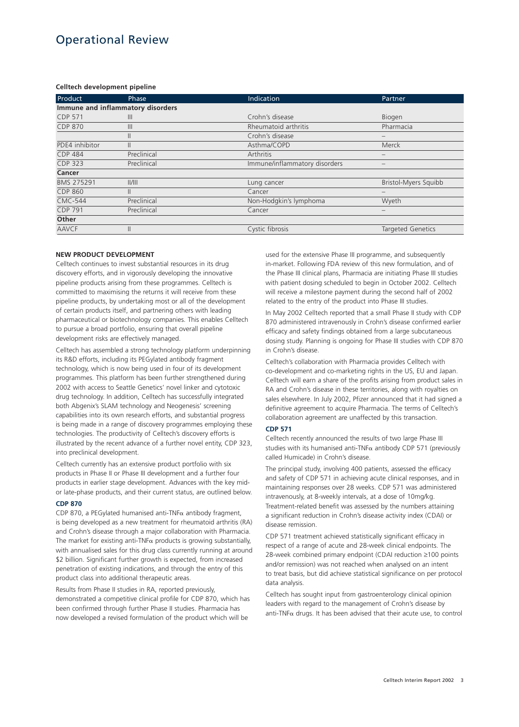# Operational Review

### **Celltech development pipeline**

| Product                           | Phase          | Indication                    | Partner                  |
|-----------------------------------|----------------|-------------------------------|--------------------------|
| Immune and inflammatory disorders |                |                               |                          |
| <b>CDP 571</b>                    | $\mathbb{H}$   | Crohn's disease               | Biogen                   |
| <b>CDP 870</b>                    | $\mathbf{III}$ | Rheumatoid arthritis          | Pharmacia                |
|                                   | Ш              | Crohn's disease               |                          |
| PDE4 inhibitor                    | $\mathbb{I}$   | Asthma/COPD                   | Merck                    |
| <b>CDP 484</b>                    | Preclinical    | Arthritis                     | $\qquad \qquad$          |
| <b>CDP 323</b>                    | Preclinical    | Immune/inflammatory disorders |                          |
| Cancer                            |                |                               |                          |
| BMS 275291                        | /              | Lung cancer                   | Bristol-Myers Squibb     |
| <b>CDP 860</b>                    | Ш              | Cancer                        |                          |
| <b>CMC-544</b>                    | Preclinical    | Non-Hodgkin's lymphoma        | Wyeth                    |
| <b>CDP 791</b>                    | Preclinical    | Cancer                        | $\qquad \qquad$          |
| Other                             |                |                               |                          |
| <b>AAVCF</b>                      | Ш              | Cystic fibrosis               | <b>Targeted Genetics</b> |

### **NEW PRODUCT DEVELOPMENT**

Celltech continues to invest substantial resources in its drug discovery efforts, and in vigorously developing the innovative pipeline products arising from these programmes. Celltech is committed to maximising the returns it will receive from these pipeline products, by undertaking most or all of the development of certain products itself, and partnering others with leading pharmaceutical or biotechnology companies. This enables Celltech to pursue a broad portfolio, ensuring that overall pipeline development risks are effectively managed.

Celltech has assembled a strong technology platform underpinning its R&D efforts, including its PEGylated antibody fragment technology, which is now being used in four of its development programmes. This platform has been further strengthened during 2002 with access to Seattle Genetics' novel linker and cytotoxic drug technology. In addition, Celltech has successfully integrated both Abgenix's SLAM technology and Neogenesis' screening capabilities into its own research efforts, and substantial progress is being made in a range of discovery programmes employing these technologies. The productivity of Celltech's discovery efforts is illustrated by the recent advance of a further novel entity, CDP 323, into preclinical development.

Celltech currently has an extensive product portfolio with six products in Phase II or Phase III development and a further four products in earlier stage development. Advances with the key midor late-phase products, and their current status, are outlined below.

### **CDP 870**

 $CDP$  870, a PEGylated humanised anti-TNF $\alpha$  antibody fragment, is being developed as a new treatment for rheumatoid arthritis (RA) and Crohn's disease through a major collaboration with Pharmacia. The market for existing anti-TNF $\alpha$  products is growing substantially, with annualised sales for this drug class currently running at around \$2 billion. Significant further growth is expected, from increased penetration of existing indications, and through the entry of this product class into additional therapeutic areas.

Results from Phase II studies in RA, reported previously, demonstrated a competitive clinical profile for CDP 870, which has been confirmed through further Phase II studies. Pharmacia has now developed a revised formulation of the product which will be

used for the extensive Phase III programme, and subsequently in-market. Following FDA review of this new formulation, and of the Phase III clinical plans, Pharmacia are initiating Phase III studies with patient dosing scheduled to begin in October 2002. Celltech will receive a milestone payment during the second half of 2002 related to the entry of the product into Phase III studies.

In May 2002 Celltech reported that a small Phase II study with CDP 870 administered intravenously in Crohn's disease confirmed earlier efficacy and safety findings obtained from a large subcutaneous dosing study. Planning is ongoing for Phase III studies with CDP 870 in Crohn's disease.

Celltech's collaboration with Pharmacia provides Celltech with co-development and co-marketing rights in the US, EU and Japan. Celltech will earn a share of the profits arising from product sales in RA and Crohn's disease in these territories, along with royalties on sales elsewhere. In July 2002, Pfizer announced that it had signed a definitive agreement to acquire Pharmacia. The terms of Celltech's collaboration agreement are unaffected by this transaction.

### **CDP 571**

Celltech recently announced the results of two large Phase III studies with its humanised anti-TNF $\alpha$  antibody CDP 571 (previously called Humicade) in Crohn's disease.

The principal study, involving 400 patients, assessed the efficacy and safety of CDP 571 in achieving acute clinical responses, and in maintaining responses over 28 weeks. CDP 571 was administered intravenously, at 8-weekly intervals, at a dose of 10mg/kg. Treatment-related benefit was assessed by the numbers attaining a significant reduction in Crohn's disease activity index (CDAI) or disease remission.

CDP 571 treatment achieved statistically significant efficacy in respect of a range of acute and 28-week clinical endpoints. The 28-week combined primary endpoint (CDAI reduction ≥100 points and/or remission) was not reached when analysed on an intent to treat basis, but did achieve statistical significance on per protocol data analysis.

Celltech has sought input from gastroenterology clinical opinion leaders with regard to the management of Crohn's disease by anti-TNF $\alpha$  drugs. It has been advised that their acute use, to control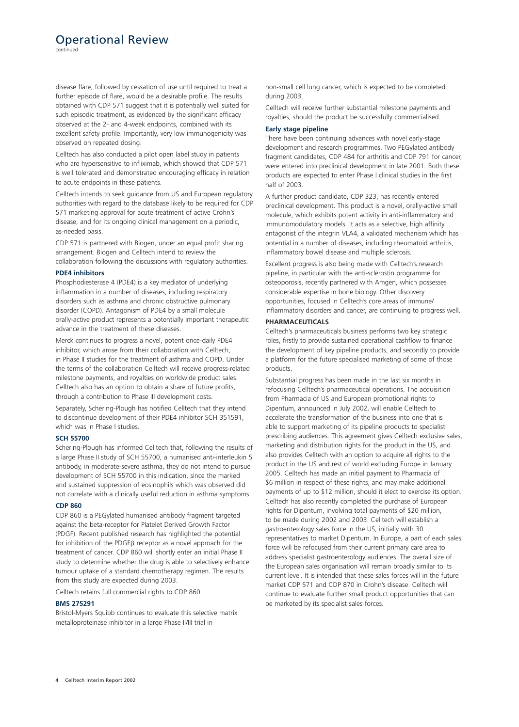## Operational Review

continued

disease flare, followed by cessation of use until required to treat a further episode of flare, would be a desirable profile. The results obtained with CDP 571 suggest that it is potentially well suited for such episodic treatment, as evidenced by the significant efficacy observed at the 2- and 4-week endpoints, combined with its excellent safety profile. Importantly, very low immunogenicity was observed on repeated dosing.

Celltech has also conducted a pilot open label study in patients who are hypersensitive to infliximab, which showed that CDP 571 is well tolerated and demonstrated encouraging efficacy in relation to acute endpoints in these patients.

Celltech intends to seek guidance from US and European regulatory authorities with regard to the database likely to be required for CDP 571 marketing approval for acute treatment of active Crohn's disease, and for its ongoing clinical management on a periodic, as-needed basis.

CDP 571 is partnered with Biogen, under an equal profit sharing arrangement. Biogen and Celltech intend to review the collaboration following the discussions with regulatory authorities.

### **PDE4 inhibitors**

Phosphodiesterase 4 (PDE4) is a key mediator of underlying inflammation in a number of diseases, including respiratory disorders such as asthma and chronic obstructive pulmonary disorder (COPD). Antagonism of PDE4 by a small molecule orally-active product represents a potentially important therapeutic advance in the treatment of these diseases.

Merck continues to progress a novel, potent once-daily PDE4 inhibitor, which arose from their collaboration with Celltech, in Phase II studies for the treatment of asthma and COPD. Under the terms of the collaboration Celltech will receive progress-related milestone payments, and royalties on worldwide product sales. Celltech also has an option to obtain a share of future profits, through a contribution to Phase III development costs.

Separately, Schering-Plough has notified Celltech that they intend to discontinue development of their PDE4 inhibitor SCH 351591, which was in Phase I studies.

### **SCH 55700**

Schering-Plough has informed Celltech that, following the results of a large Phase II study of SCH 55700, a humanised anti-interleukin 5 antibody, in moderate-severe asthma, they do not intend to pursue development of SCH 55700 in this indication, since the marked and sustained suppression of eosinophils which was observed did not correlate with a clinically useful reduction in asthma symptoms.

### **CDP 860**

CDP 860 is a PEGylated humanised antibody fragment targeted against the beta-receptor for Platelet Derived Growth Factor (PDGF). Recent published research has highlighted the potential for inhibition of the PDGF<sub>B</sub> receptor as a novel approach for the treatment of cancer. CDP 860 will shortly enter an initial Phase II study to determine whether the drug is able to selectively enhance tumour uptake of a standard chemotherapy regimen. The results from this study are expected during 2003.

Celltech retains full commercial rights to CDP 860.

### **BMS 275291**

Bristol-Myers Squibb continues to evaluate this selective matrix metalloproteinase inhibitor in a large Phase II/III trial in

non-small cell lung cancer, which is expected to be completed during 2003.

Celltech will receive further substantial milestone payments and royalties, should the product be successfully commercialised.

### **Early stage pipeline**

There have been continuing advances with novel early-stage development and research programmes. Two PEGylated antibody fragment candidates, CDP 484 for arthritis and CDP 791 for cancer, were entered into preclinical development in late 2001. Both these products are expected to enter Phase I clinical studies in the first half of 2003.

A further product candidate, CDP 323, has recently entered preclinical development. This product is a novel, orally-active small molecule, which exhibits potent activity in anti-inflammatory and immunomodulatory models. It acts as a selective, high affinity antagonist of the integrin VLA4, a validated mechanism which has potential in a number of diseases, including rheumatoid arthritis, inflammatory bowel disease and multiple sclerosis.

Excellent progress is also being made with Celltech's research pipeline, in particular with the anti-sclerostin programme for osteoporosis, recently partnered with Amgen, which possesses considerable expertise in bone biology. Other discovery opportunities, focused in Celltech's core areas of immune/ inflammatory disorders and cancer, are continuing to progress well.

### **PHARMACEUTICALS**

Celltech's pharmaceuticals business performs two key strategic roles, firstly to provide sustained operational cashflow to finance the development of key pipeline products, and secondly to provide a platform for the future specialised marketing of some of those products.

Substantial progress has been made in the last six months in refocusing Celltech's pharmaceutical operations. The acquisition from Pharmacia of US and European promotional rights to Dipentum, announced in July 2002, will enable Celltech to accelerate the transformation of the business into one that is able to support marketing of its pipeline products to specialist prescribing audiences. This agreement gives Celltech exclusive sales, marketing and distribution rights for the product in the US, and also provides Celltech with an option to acquire all rights to the product in the US and rest of world excluding Europe in January 2005. Celltech has made an initial payment to Pharmacia of \$6 million in respect of these rights, and may make additional payments of up to \$12 million, should it elect to exercise its option. Celltech has also recently completed the purchase of European rights for Dipentum, involving total payments of \$20 million, to be made during 2002 and 2003. Celltech will establish a gastroenterology sales force in the US, initially with 30 representatives to market Dipentum. In Europe, a part of each sales force will be refocused from their current primary care area to address specialist gastroenterology audiences. The overall size of the European sales organisation will remain broadly similar to its current level. It is intended that these sales forces will in the future market CDP 571 and CDP 870 in Crohn's disease. Celltech will continue to evaluate further small product opportunities that can be marketed by its specialist sales forces.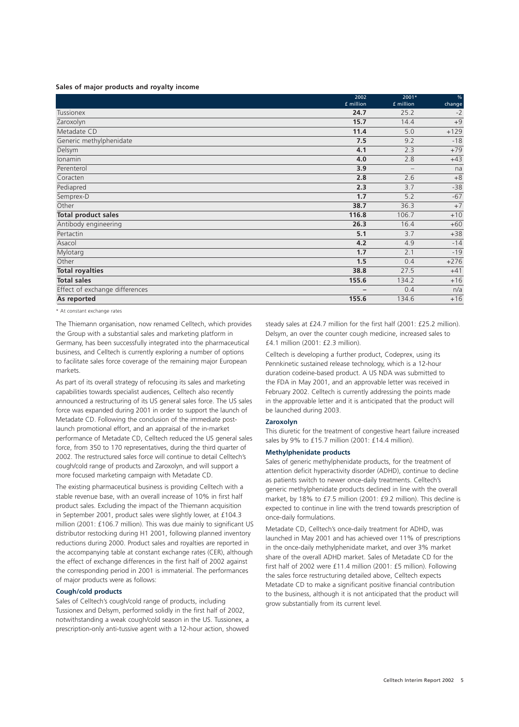### **Sales of major products and royalty income**

|                                | 2002        | 2001*                    | $\%$   |
|--------------------------------|-------------|--------------------------|--------|
|                                | $f$ million | £ million                | change |
| <b>Tussionex</b>               | 24.7        | 25.2                     | $-2$   |
| Zaroxolyn                      | 15.7        | 14.4                     | $+9$   |
| Metadate CD                    | 11.4        | 5.0                      | $+129$ |
| Generic methylphenidate        | 7.5         | 9.2                      | $-18$  |
| Delsym                         | 4.1         | 2.3                      | $+79$  |
| Ionamin                        | 4.0         | 2.8                      | $+43$  |
| Perenterol                     | 3.9         | $\overline{\phantom{0}}$ | na     |
| Coracten                       | 2.8         | 2.6                      | $+8$   |
| Pediapred                      | 2.3         | 3.7                      | $-38$  |
| Semprex-D                      | 1.7         | 5.2                      | $-67$  |
| Other                          | 38.7        | 36.3                     | $+7$   |
| <b>Total product sales</b>     | 116.8       | 106.7                    | $+10$  |
| Antibody engineering           | 26.3        | 16.4                     | $+60$  |
| Pertactin                      | 5.1         | 3.7                      | $+38$  |
| Asacol                         | 4.2         | 4.9                      | $-14$  |
| Mylotarg                       | 1.7         | 2.1                      | $-19$  |
| Other                          | 1.5         | 0.4                      | $+276$ |
| <b>Total royalties</b>         | 38.8        | 27.5                     | $+41$  |
| <b>Total sales</b>             | 155.6       | 134.2                    | $+16$  |
| Effect of exchange differences | -           | 0.4                      | n/a    |
| As reported                    | 155.6       | 134.6                    | $+16$  |

\* At constant exchange rates

The Thiemann organisation, now renamed Celltech, which provides the Group with a substantial sales and marketing platform in Germany, has been successfully integrated into the pharmaceutical business, and Celltech is currently exploring a number of options to facilitate sales force coverage of the remaining major European markets.

As part of its overall strategy of refocusing its sales and marketing capabilities towards specialist audiences, Celltech also recently announced a restructuring of its US general sales force. The US sales force was expanded during 2001 in order to support the launch of Metadate CD. Following the conclusion of the immediate postlaunch promotional effort, and an appraisal of the in-market performance of Metadate CD, Celltech reduced the US general sales force, from 350 to 170 representatives, during the third quarter of 2002. The restructured sales force will continue to detail Celltech's cough/cold range of products and Zaroxolyn, and will support a more focused marketing campaign with Metadate CD.

The existing pharmaceutical business is providing Celltech with a stable revenue base, with an overall increase of 10% in first half product sales. Excluding the impact of the Thiemann acquisition in September 2001, product sales were slightly lower, at £104.3 million (2001: £106.7 million). This was due mainly to significant US distributor restocking during H1 2001, following planned inventory reductions during 2000. Product sales and royalties are reported in the accompanying table at constant exchange rates (CER), although the effect of exchange differences in the first half of 2002 against the corresponding period in 2001 is immaterial. The performances of major products were as follows:

### **Cough/cold products**

Sales of Celltech's cough/cold range of products, including Tussionex and Delsym, performed solidly in the first half of 2002, notwithstanding a weak cough/cold season in the US. Tussionex, a prescription-only anti-tussive agent with a 12-hour action, showed

steady sales at £24.7 million for the first half (2001: £25.2 million). Delsym, an over the counter cough medicine, increased sales to £4.1 million (2001: £2.3 million).

Celltech is developing a further product, Codeprex, using its Pennkinetic sustained release technology, which is a 12-hour duration codeine-based product. A US NDA was submitted to the FDA in May 2001, and an approvable letter was received in February 2002. Celltech is currently addressing the points made in the approvable letter and it is anticipated that the product will be launched during 2003.

### **Zaroxolyn**

This diuretic for the treatment of congestive heart failure increased sales by 9% to £15.7 million (2001: £14.4 million).

### **Methylphenidate products**

Sales of generic methylphenidate products, for the treatment of attention deficit hyperactivity disorder (ADHD), continue to decline as patients switch to newer once-daily treatments. Celltech's generic methylphenidate products declined in line with the overall market, by 18% to £7.5 million (2001: £9.2 million). This decline is expected to continue in line with the trend towards prescription of once-daily formulations.

Metadate CD, Celltech's once-daily treatment for ADHD, was launched in May 2001 and has achieved over 11% of prescriptions in the once-daily methylphenidate market, and over 3% market share of the overall ADHD market. Sales of Metadate CD for the first half of 2002 were £11.4 million (2001: £5 million). Following the sales force restructuring detailed above, Celltech expects Metadate CD to make a significant positive financial contribution to the business, although it is not anticipated that the product will grow substantially from its current level.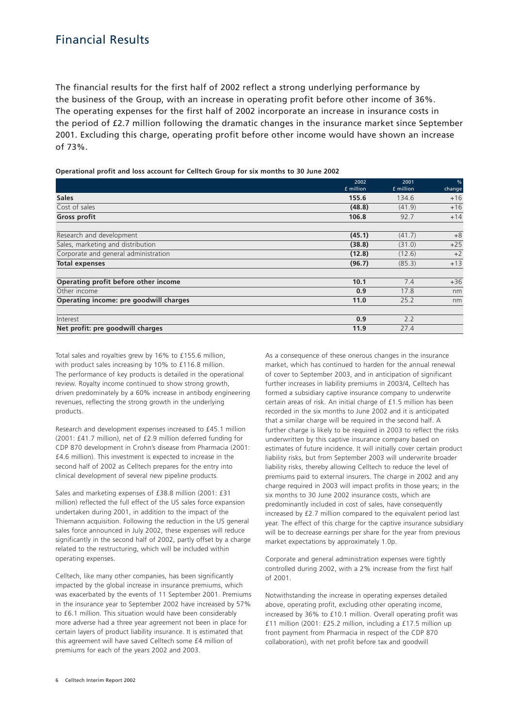## Financial Results

The financial results for the first half of 2002 reflect a strong underlying performance by the business of the Group, with an increase in operating profit before other income of 36%. The operating expenses for the first half of 2002 incorporate an increase in insurance costs in the period of £2.7 million following the dramatic changes in the insurance market since September 2001. Excluding this charge, operating profit before other income would have shown an increase of 73%.

### **Operational profit and loss account for Celltech Group for six months to 30 June 2002**

|                                        | 2002      | 2001      | %      |
|----------------------------------------|-----------|-----------|--------|
|                                        | £ million | £ million | change |
| <b>Sales</b>                           | 155.6     | 134.6     | $+16$  |
| Cost of sales                          | (48.8)    | (41.9)    | $+16$  |
| <b>Gross profit</b>                    | 106.8     | 92.7      | $+14$  |
| Research and development               | (45.1)    | (41.7)    | $+8$   |
| Sales, marketing and distribution      | (38.8)    | (31.0)    | $+25$  |
| Corporate and general administration   | (12.8)    | (12.6)    | $+2$   |
| <b>Total expenses</b>                  | (96.7)    | (85.3)    | $+13$  |
| Operating profit before other income   | 10.1      | 7.4       | $+36$  |
| Other income                           | 0.9       | 17.8      | nm     |
| Operating income: pre goodwill charges | 11.0      | 25.2      | nm     |
| Interest                               | 0.9       | 2.2       |        |
| Net profit: pre goodwill charges       | 11.9      | 27.4      |        |

Total sales and royalties grew by 16% to £155.6 million, with product sales increasing by 10% to £116.8 million. The performance of key products is detailed in the operational review. Royalty income continued to show strong growth, driven predominately by a 60% increase in antibody engineering revenues, reflecting the strong growth in the underlying products.

Research and development expenses increased to £45.1 million (2001: £41.7 million), net of £2.9 million deferred funding for CDP 870 development in Crohn's disease from Pharmacia (2001: £4.6 million). This investment is expected to increase in the second half of 2002 as Celltech prepares for the entry into clinical development of several new pipeline products.

Sales and marketing expenses of £38.8 million (2001: £31 million) reflected the full effect of the US sales force expansion undertaken during 2001, in addition to the impact of the Thiemann acquisition. Following the reduction in the US general sales force announced in July 2002, these expenses will reduce significantly in the second half of 2002, partly offset by a charge related to the restructuring, which will be included within operating expenses.

Celltech, like many other companies, has been significantly impacted by the global increase in insurance premiums, which was exacerbated by the events of 11 September 2001. Premiums in the insurance year to September 2002 have increased by 57% to £6.1 million. This situation would have been considerably more adverse had a three year agreement not been in place for certain layers of product liability insurance. It is estimated that this agreement will have saved Celltech some £4 million of premiums for each of the years 2002 and 2003.

As a consequence of these onerous changes in the insurance market, which has continued to harden for the annual renewal of cover to September 2003, and in anticipation of significant further increases in liability premiums in 2003/4, Celltech has formed a subsidiary captive insurance company to underwrite certain areas of risk. An initial charge of £1.5 million has been recorded in the six months to June 2002 and it is anticipated that a similar charge will be required in the second half. A further charge is likely to be required in 2003 to reflect the risks underwritten by this captive insurance company based on estimates of future incidence. It will initially cover certain product liability risks, but from September 2003 will underwrite broader liability risks, thereby allowing Celltech to reduce the level of premiums paid to external insurers. The charge in 2002 and any charge required in 2003 will impact profits in those years; in the six months to 30 June 2002 insurance costs, which are predominantly included in cost of sales, have consequently increased by £2.7 million compared to the equivalent period last year. The effect of this charge for the captive insurance subsidiary will be to decrease earnings per share for the year from previous market expectations by approximately 1.0p.

Corporate and general administration expenses were tightly controlled during 2002, with a 2% increase from the first half of 2001.

Notwithstanding the increase in operating expenses detailed above, operating profit, excluding other operating income, increased by 36% to £10.1 million. Overall operating profit was £11 million (2001: £25.2 million, including a £17.5 million up front payment from Pharmacia in respect of the CDP 870 collaboration), with net profit before tax and goodwill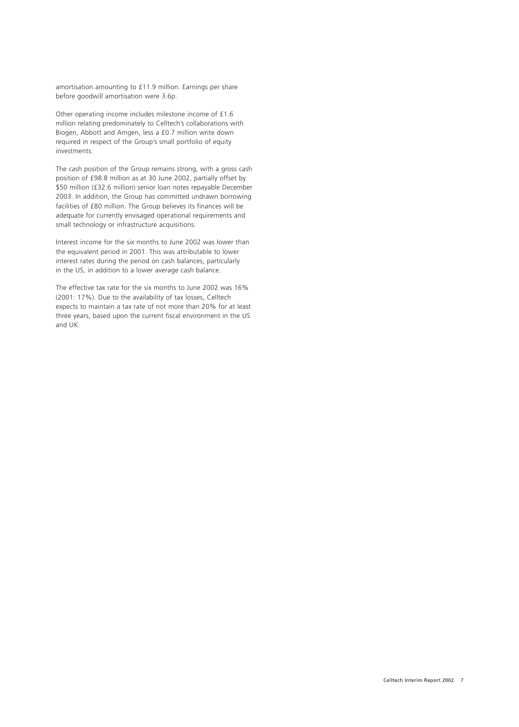amortisation amounting to £11.9 million. Earnings per share before goodwill amortisation were 3.6p.

Other operating income includes milestone income of £1.6 million relating predominately to Celltech's collaborations with Biogen, Abbott and Amgen, less a £0.7 million write down required in respect of the Group's small portfolio of equity investments.

The cash position of the Group remains strong, with a gross cash position of £98.8 million as at 30 June 2002, partially offset by \$50 million (£32.6 million) senior loan notes repayable December 2003. In addition, the Group has committed undrawn borrowing facilities of £80 million. The Group believes its finances will be adequate for currently envisaged operational requirements and small technology or infrastructure acquisitions.

Interest income for the six months to June 2002 was lower than the equivalent period in 2001. This was attributable to lower interest rates during the period on cash balances, particularly in the US, in addition to a lower average cash balance.

The effective tax rate for the six months to June 2002 was 16% (2001: 17%). Due to the availability of tax losses, Celltech expects to maintain a tax rate of not more than 20% for at least three years, based upon the current fiscal environment in the US and UK.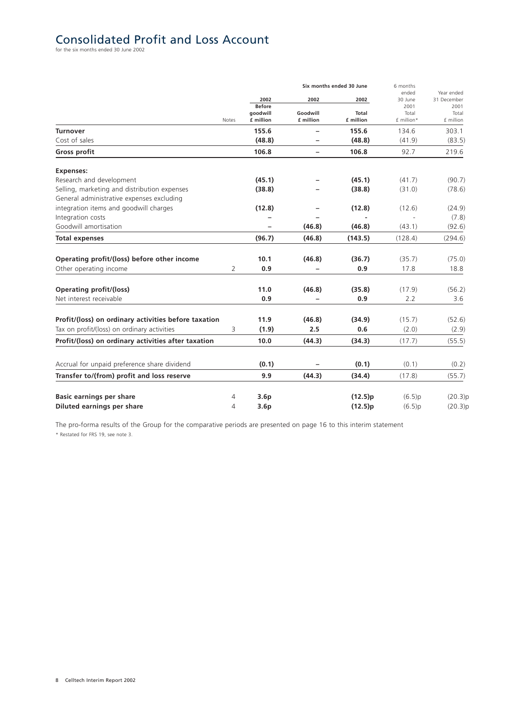# Consolidated Profit and Loss Account

|                                                      |                |                           |                          | Six months ended 30 June | 6 months<br>ended | Year ended    |  |
|------------------------------------------------------|----------------|---------------------------|--------------------------|--------------------------|-------------------|---------------|--|
|                                                      |                | 2002                      | 2002                     | 2002                     | 30 June           | 31 December   |  |
|                                                      |                | <b>Before</b><br>qoodwill | Goodwill                 | <b>Total</b>             | 2001<br>Total     | 2001<br>Total |  |
|                                                      | Notes          | £ million                 | £ million                | £ million                | £ million*        | £ million     |  |
| <b>Turnover</b>                                      |                | 155.6                     | $\qquad \qquad -$        | 155.6                    | 134.6             | 303.1         |  |
| Cost of sales                                        |                | (48.8)                    | -                        | (48.8)                   | (41.9)            | (83.5)        |  |
| Gross profit                                         |                | 106.8                     | $\overline{\phantom{0}}$ | 106.8                    | 92.7              | 219.6         |  |
| <b>Expenses:</b>                                     |                |                           |                          |                          |                   |               |  |
| Research and development                             |                | (45.1)                    |                          | (45.1)                   | (41.7)            | (90.7)        |  |
| Selling, marketing and distribution expenses         |                | (38.8)                    |                          | (38.8)                   | (31.0)            | (78.6)        |  |
| General administrative expenses excluding            |                |                           |                          |                          |                   |               |  |
| integration items and goodwill charges               |                | (12.8)                    |                          | (12.8)                   | (12.6)            | (24.9)        |  |
| Integration costs                                    |                |                           |                          |                          |                   | (7.8)         |  |
| Goodwill amortisation                                |                |                           | (46.8)                   | (46.8)                   | (43.1)            | (92.6)        |  |
| <b>Total expenses</b>                                |                | (96.7)                    | (46.8)                   | (143.5)                  | (128.4)           | (294.6)       |  |
| Operating profit/(loss) before other income          |                | 10.1                      | (46.8)                   | (36.7)                   | (35.7)            | (75.0)        |  |
| Other operating income                               | $\overline{2}$ | 0.9                       |                          | 0.9                      | 17.8              | 18.8          |  |
| <b>Operating profit/(loss)</b>                       |                | 11.0                      | (46.8)                   | (35.8)                   | (17.9)            | (56.2)        |  |
| Net interest receivable                              |                | 0.9                       |                          | 0.9                      | 2.2               | 3.6           |  |
| Profit/(loss) on ordinary activities before taxation |                | 11.9                      | (46.8)                   | (34.9)                   | (15.7)            | (52.6)        |  |
| Tax on profit/(loss) on ordinary activities          | 3              | (1.9)                     | 2.5                      | 0.6                      | (2.0)             | (2.9)         |  |
| Profit/(loss) on ordinary activities after taxation  |                | 10.0                      | (44.3)                   | (34.3)                   | (17.7)            | (55.5)        |  |
| Accrual for unpaid preference share dividend         |                | (0.1)                     |                          | (0.1)                    | (0.1)             | (0.2)         |  |
| Transfer to/(from) profit and loss reserve           |                | 9.9                       | (44.3)                   | (34.4)                   | (17.8)            | (55.7)        |  |
|                                                      |                |                           |                          |                          |                   |               |  |
| <b>Basic earnings per share</b>                      | 4              | 3.6 <sub>p</sub>          |                          | (12.5)p                  | (6.5)p            | (20.3)p       |  |
| Diluted earnings per share                           | 4              | 3.6p                      |                          | (12.5)p                  | (6.5)p            | (20.3)p       |  |

The pro-forma results of the Group for the comparative periods are presented on page 16 to this interim statement \* Restated for FRS 19, see note 3.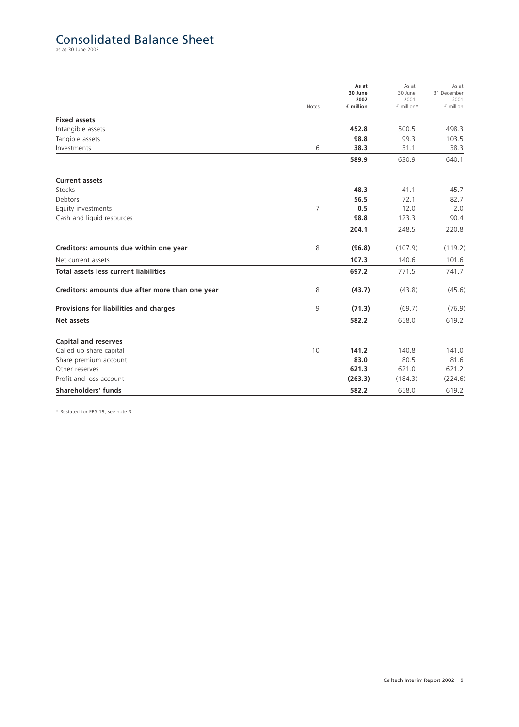## Consolidated Balance Sheet

as at 30 June 2002

|                                                 | Notes          | As at<br>30 June<br>2002<br>£ million | As at<br>30 June<br>2001<br>£ million* | As at<br>31 December<br>2001<br>£ million |
|-------------------------------------------------|----------------|---------------------------------------|----------------------------------------|-------------------------------------------|
| <b>Fixed assets</b>                             |                |                                       |                                        |                                           |
| Intangible assets                               |                | 452.8                                 | 500.5                                  | 498.3                                     |
| Tangible assets                                 |                | 98.8                                  | 99.3                                   | 103.5                                     |
| Investments                                     | 6              | 38.3                                  | 31.1                                   | 38.3                                      |
|                                                 |                | 589.9                                 | 630.9                                  | 640.1                                     |
| <b>Current assets</b>                           |                |                                       |                                        |                                           |
| Stocks                                          |                | 48.3                                  | 41.1                                   | 45.7                                      |
| Debtors                                         |                | 56.5                                  | 72.1                                   | 82.7                                      |
| Equity investments                              | $\overline{7}$ | 0.5                                   | 12.0                                   | 2.0                                       |
| Cash and liquid resources                       |                | 98.8                                  | 123.3                                  | 90.4                                      |
|                                                 |                | 204.1                                 | 248.5                                  | 220.8                                     |
| Creditors: amounts due within one year          | 8              | (96.8)                                | (107.9)                                | (119.2)                                   |
| Net current assets                              |                | 107.3                                 | 140.6                                  | 101.6                                     |
| <b>Total assets less current liabilities</b>    |                | 697.2                                 | 771.5                                  | 741.7                                     |
| Creditors: amounts due after more than one year | 8              | (43.7)                                | (43.8)                                 | (45.6)                                    |
| Provisions for liabilities and charges          | 9              | (71.3)                                | (69.7)                                 | (76.9)                                    |
| Net assets                                      |                | 582.2                                 | 658.0                                  | 619.2                                     |
| <b>Capital and reserves</b>                     |                |                                       |                                        |                                           |
| Called up share capital                         | 10             | 141.2                                 | 140.8                                  | 141.0                                     |
| Share premium account                           |                | 83.0                                  | 80.5                                   | 81.6                                      |
| Other reserves                                  |                | 621.3                                 | 621.0                                  | 621.2                                     |
| Profit and loss account                         |                | (263.3)                               | (184.3)                                | (224.6)                                   |
| Shareholders' funds                             |                | 582.2                                 | 658.0                                  | 619.2                                     |

\* Restated for FRS 19, see note 3.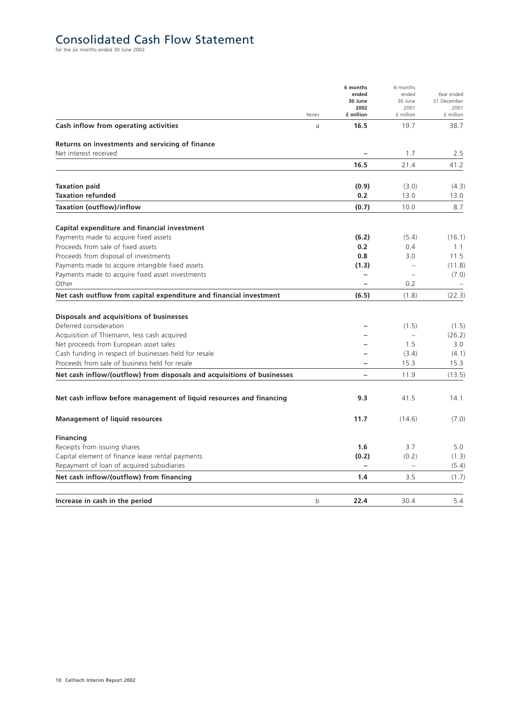# Consolidated Cash Flow Statement

|                                                                         | Notes | 6 months<br>ended<br>30 June<br>2002<br>£ million | 6 months<br>ended<br>30 June<br>2001<br>£ million | Year ended<br>31 December<br>2001<br>£ million |
|-------------------------------------------------------------------------|-------|---------------------------------------------------|---------------------------------------------------|------------------------------------------------|
| Cash inflow from operating activities                                   | a     | 16.5                                              | 19.7                                              | 38.7                                           |
| Returns on investments and servicing of finance                         |       |                                                   |                                                   |                                                |
| Net interest received                                                   |       |                                                   | 1.7                                               | 2.5                                            |
|                                                                         |       | 16.5                                              | 21.4                                              | 41.2                                           |
| <b>Taxation paid</b>                                                    |       | (0.9)                                             | (3.0)                                             | (4.3)                                          |
| <b>Taxation refunded</b>                                                |       | 0.2                                               | 13.0                                              | 13.0                                           |
| Taxation (outflow)/inflow                                               |       | (0.7)                                             | 10.0                                              | 8.7                                            |
| Capital expenditure and financial investment                            |       |                                                   |                                                   |                                                |
| Payments made to acquire fixed assets                                   |       | (6.2)                                             | (5.4)                                             | (16.1)                                         |
| Proceeds from sale of fixed assets                                      |       | 0.2                                               | 0.4                                               | 1.1                                            |
| Proceeds from disposal of investments                                   |       | 0.8                                               | 3.0                                               | 11.5                                           |
| Payments made to acquire intangible fixed assets                        |       | (1.3)                                             | $\overline{\phantom{0}}$                          | (11.8)                                         |
| Payments made to acquire fixed asset investments                        |       | $\overline{\phantom{0}}$                          | $\overline{\phantom{0}}$                          | (7.0)                                          |
| Other                                                                   |       |                                                   | 0.2                                               |                                                |
| Net cash outflow from capital expenditure and financial investment      |       | (6.5)                                             | (1.8)                                             | (22.3)                                         |
| Disposals and acquisitions of businesses                                |       |                                                   |                                                   |                                                |
| Deferred consideration                                                  |       |                                                   | (1.5)                                             | (1.5)                                          |
| Acquisition of Thiemann, less cash acquired                             |       |                                                   |                                                   | (26.2)                                         |
| Net proceeds from European asset sales                                  |       |                                                   | 1.5                                               | 3.0                                            |
| Cash funding in respect of businesses held for resale                   |       |                                                   | (3.4)                                             | (4.1)                                          |
| Proceeds from sale of business held for resale                          |       |                                                   | 15.3                                              | 15.3                                           |
| Net cash inflow/(outflow) from disposals and acquisitions of businesses |       |                                                   | 11.9                                              | (13.5)                                         |
| Net cash inflow before management of liquid resources and financing     |       | 9.3                                               | 41.5                                              | 14.1                                           |
| <b>Management of liquid resources</b>                                   |       | 11.7                                              | (14.6)                                            | (7.0)                                          |
| <b>Financing</b>                                                        |       |                                                   |                                                   |                                                |
| Receipts from issuing shares                                            |       | 1.6                                               | 3.7                                               | 5.0                                            |
| Capital element of finance lease rental payments                        |       | (0.2)                                             | (0.2)                                             | (1.3)                                          |
| Repayment of loan of acquired subsidiaries                              |       | $\equiv$                                          | $\overline{\phantom{0}}$                          | (5.4)                                          |
| Net cash inflow/(outflow) from financing                                |       | 1.4                                               | 3.5                                               | (1.7)                                          |
| Increase in cash in the period                                          | b     | 22.4                                              | 30.4                                              | 5.4                                            |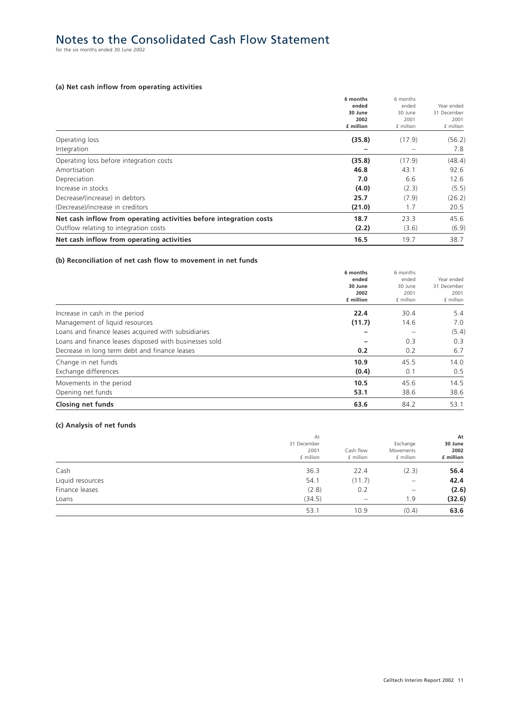# Notes to the Consolidated Cash Flow Statement for the six months ended 30 June 2002

### **(a) Net cash inflow from operating activities**

|                                                                    | 6 months  | 6 months  |             |
|--------------------------------------------------------------------|-----------|-----------|-------------|
|                                                                    | ended     | ended     | Year ended  |
|                                                                    | 30 June   | 30 June   | 31 December |
|                                                                    | 2002      | 2001      | 2001        |
|                                                                    | £ million | £ million | £ million   |
| Operating loss                                                     | (35.8)    | (17.9)    | (56.2)      |
| Integration                                                        |           |           | 7.8         |
| Operating loss before integration costs                            | (35.8)    | (17.9)    | (48.4)      |
| Amortisation                                                       | 46.8      | 43.1      | 92.6        |
| Depreciation                                                       | 7.0       | 6.6       | 12.6        |
| Increase in stocks                                                 | (4.0)     | (2.3)     | (5.5)       |
| Decrease/(increase) in debtors                                     | 25.7      | (7.9)     | (26.2)      |
| (Decrease)/increase in creditors                                   | (21.0)    | 1.7       | 20.5        |
| Net cash inflow from operating activities before integration costs | 18.7      | 23.3      | 45.6        |
| Outflow relating to integration costs                              | (2.2)     | (3.6)     | (6.9)       |
| Net cash inflow from operating activities                          | 16.5      | 19.7      | 38.7        |

### **(b) Reconciliation of net cash flow to movement in net funds**

|                                                        | 6 months<br>ended<br>30 June<br>2002<br>£ million | 6 months<br>ended<br>30 June<br>2001<br>£ million | Year ended<br>31 December<br>2001<br>£ million |
|--------------------------------------------------------|---------------------------------------------------|---------------------------------------------------|------------------------------------------------|
| Increase in cash in the period                         | 22.4                                              | 30.4                                              | 5.4                                            |
| Management of liquid resources                         | (11.7)                                            | 14.6                                              | 7.0                                            |
| Loans and finance leases acquired with subsidiaries    |                                                   |                                                   | (5.4)                                          |
| Loans and finance leases disposed with businesses sold |                                                   | 0.3                                               | 0.3                                            |
| Decrease in long term debt and finance leases          | 0.2                                               | 0.2                                               | 6.7                                            |
| Change in net funds                                    | 10.9                                              | 45.5                                              | 14.0                                           |
| Exchange differences                                   | (0.4)                                             | 0.1                                               | 0.5                                            |
| Movements in the period                                | 10.5                                              | 45.6                                              | 14.5                                           |
| Opening net funds                                      | 53.1                                              | 38.6                                              | 38.6                                           |
| <b>Closing net funds</b>                               | 63.6                                              | 84.2                                              | 53.1                                           |

### **(c) Analysis of net funds**

|                  | At                               |                          |                                    | At                           |
|------------------|----------------------------------|--------------------------|------------------------------------|------------------------------|
|                  | 31 December<br>2001<br>£ million | Cash flow<br>£ million   | Exchange<br>Movements<br>£ million | 30 June<br>2002<br>£ million |
| Cash             | 36.3                             | 22.4                     | (2.3)                              | 56.4                         |
| Liquid resources | 54.1                             | (11.7)                   | $\overline{\phantom{0}}$           | 42.4                         |
| Finance leases   | (2.8)                            | 0.2                      |                                    | (2.6)                        |
| Loans            | (34.5)                           | $\overline{\phantom{m}}$ | 1.9                                | (32.6)                       |
|                  | 53.1                             | 10.9                     | (0.4)                              | 63.6                         |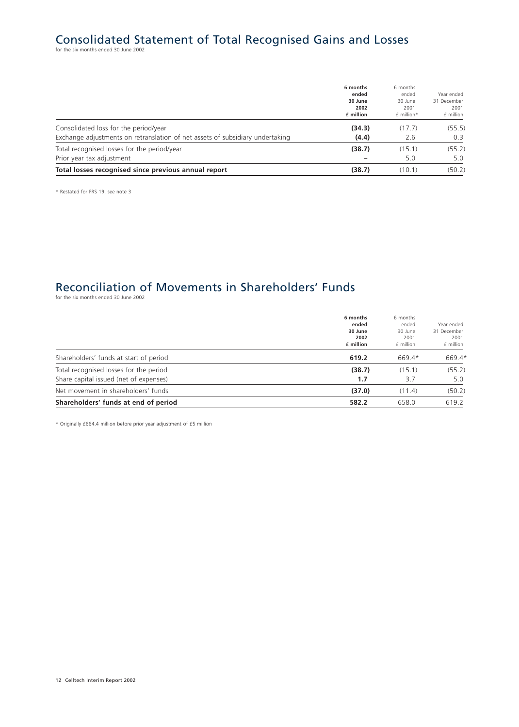# Consolidated Statement of Total Recognised Gains and Losses for the six months ended 30 June 2002

|                                                                               | 6 months<br>ended<br>30 June | 6 months<br>ended<br>30 June | Year ended<br>31 December |
|-------------------------------------------------------------------------------|------------------------------|------------------------------|---------------------------|
|                                                                               | 2002<br>£ million            | 2001<br>£ million*           | 2001<br>f million         |
| Consolidated loss for the period/year                                         | (34.3)                       | (17.7)                       | (55.5)                    |
| Exchange adjustments on retranslation of net assets of subsidiary undertaking | (4.4)                        | 2.6                          | 0.3                       |
| Total recognised losses for the period/year                                   | (38.7)                       | (15.1)                       | (55.2)                    |
| Prior year tax adjustment                                                     |                              | 5.0                          | 5.0                       |
| Total losses recognised since previous annual report                          | (38.7)                       | (10.1)                       | (50.2)                    |

\* Restated for FRS 19, see note 3

# Reconciliation of Movements in Shareholders' Funds

for the six months ended 30 June 2002

|                                                                                  | 6 months<br>ended<br>30 June<br>2002<br>£ million | 6 months<br>ended<br>30 June<br>2001<br>£ million | Year ended<br>31 December<br>2001<br>£ million |
|----------------------------------------------------------------------------------|---------------------------------------------------|---------------------------------------------------|------------------------------------------------|
| Shareholders' funds at start of period                                           | 619.2                                             | 669.4*                                            | 669.4*                                         |
| Total recognised losses for the period<br>Share capital issued (net of expenses) | (38.7)<br>1.7                                     | (15.1)<br>3.7                                     | (55.2)<br>5.0                                  |
| Net movement in shareholders' funds                                              | (37.0)                                            | (11.4)                                            | (50.2)                                         |
| Shareholders' funds at end of period                                             | 582.2                                             | 658.0                                             | 619.2                                          |

\* Originally £664.4 million before prior year adjustment of £5 million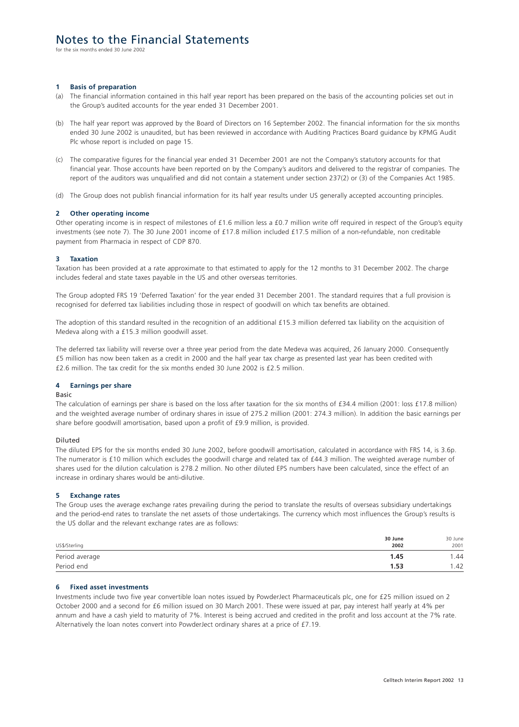for the six months ended 30 June 2002

### **1 Basis of preparation**

- (a) The financial information contained in this half year report has been prepared on the basis of the accounting policies set out in the Group's audited accounts for the year ended 31 December 2001.
- (b) The half year report was approved by the Board of Directors on 16 September 2002. The financial information for the six months ended 30 June 2002 is unaudited, but has been reviewed in accordance with Auditing Practices Board guidance by KPMG Audit Plc whose report is included on page 15.
- (c) The comparative figures for the financial year ended 31 December 2001 are not the Company's statutory accounts for that financial year. Those accounts have been reported on by the Company's auditors and delivered to the registrar of companies. The report of the auditors was unqualified and did not contain a statement under section 237(2) or (3) of the Companies Act 1985.
- (d) The Group does not publish financial information for its half year results under US generally accepted accounting principles.

### **2 Other operating income**

Other operating income is in respect of milestones of £1.6 million less a £0.7 million write off required in respect of the Group's equity investments (see note 7). The 30 June 2001 income of £17.8 million included £17.5 million of a non-refundable, non creditable payment from Pharmacia in respect of CDP 870.

#### **3 Taxation**

Taxation has been provided at a rate approximate to that estimated to apply for the 12 months to 31 December 2002. The charge includes federal and state taxes payable in the US and other overseas territories.

The Group adopted FRS 19 'Deferred Taxation' for the year ended 31 December 2001. The standard requires that a full provision is recognised for deferred tax liabilities including those in respect of goodwill on which tax benefits are obtained.

The adoption of this standard resulted in the recognition of an additional £15.3 million deferred tax liability on the acquisition of Medeva along with a £15.3 million goodwill asset.

The deferred tax liability will reverse over a three year period from the date Medeva was acquired, 26 January 2000. Consequently £5 million has now been taken as a credit in 2000 and the half year tax charge as presented last year has been credited with £2.6 million. The tax credit for the six months ended 30 June 2002 is £2.5 million.

### **4 Earnings per share**

### Basic

The calculation of earnings per share is based on the loss after taxation for the six months of £34.4 million (2001: loss £17.8 million) and the weighted average number of ordinary shares in issue of 275.2 million (2001: 274.3 million). In addition the basic earnings per share before goodwill amortisation, based upon a profit of £9.9 million, is provided.

#### Diluted

The diluted EPS for the six months ended 30 June 2002, before goodwill amortisation, calculated in accordance with FRS 14, is 3.6p. The numerator is £10 million which excludes the goodwill charge and related tax of £44.3 million. The weighted average number of shares used for the dilution calculation is 278.2 million. No other diluted EPS numbers have been calculated, since the effect of an increase in ordinary shares would be anti-dilutive.

### **5 Exchange rates**

The Group uses the average exchange rates prevailing during the period to translate the results of overseas subsidiary undertakings and the period-end rates to translate the net assets of those undertakings. The currency which most influences the Group's results is the US dollar and the relevant exchange rates are as follows:

| US\$/Sterling  | 30 June<br>2002 | 30 June<br>2001 |
|----------------|-----------------|-----------------|
| Period average | 1.45            | .44             |
| Period end     | 1.53            | .42             |

### **6 Fixed asset investments**

Investments include two five year convertible loan notes issued by PowderJect Pharmaceuticals plc, one for £25 million issued on 2 October 2000 and a second for £6 million issued on 30 March 2001. These were issued at par, pay interest half yearly at 4% per annum and have a cash yield to maturity of 7%. Interest is being accrued and credited in the profit and loss account at the 7% rate. Alternatively the loan notes convert into PowderJect ordinary shares at a price of £7.19.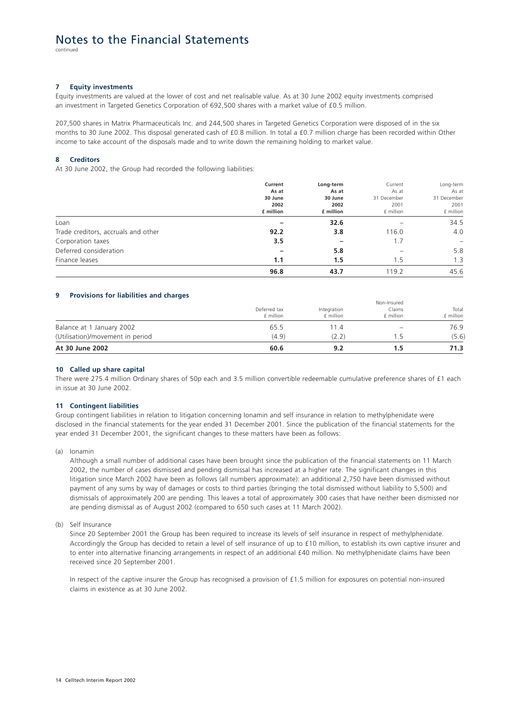continued

### **7 Equity investments**

Equity investments are valued at the lower of cost and net realisable value. As at 30 June 2002 equity investments comprised an investment in Targeted Genetics Corporation of 692,500 shares with a market value of £0.5 million.

207,500 shares in Matrix Pharmaceuticals Inc. and 244,500 shares in Targeted Genetics Corporation were disposed of in the six months to 30 June 2002. This disposal generated cash of £0.8 million. In total a £0.7 million charge has been recorded within Other income to take account of the disposals made and to write down the remaining holding to market value.

### **8 Creditors**

At 30 June 2002, the Group had recorded the following liabilities:

|                                     | Current<br>As at<br>30 June<br>2002<br>£ million | Long-term                             | Current<br>As at<br>31 December<br>2001<br>£ million | Long-term<br>As at<br>31 December<br>2001<br>£ million |
|-------------------------------------|--------------------------------------------------|---------------------------------------|------------------------------------------------------|--------------------------------------------------------|
|                                     |                                                  | As at<br>30 June<br>2002<br>£ million |                                                      |                                                        |
|                                     |                                                  |                                       |                                                      |                                                        |
|                                     |                                                  |                                       |                                                      |                                                        |
|                                     |                                                  |                                       |                                                      |                                                        |
| Loan                                |                                                  | 32.6                                  |                                                      | 34.5                                                   |
| Trade creditors, accruals and other | 92.2                                             | 3.8                                   | 116.0                                                | 4.0                                                    |
| Corporation taxes                   | 3.5                                              | -                                     | 1.7                                                  |                                                        |
| Deferred consideration              |                                                  | 5.8                                   |                                                      | 5.8                                                    |
| Finance leases                      | 1.1                                              | 1.5                                   | 1.5                                                  | 1.3                                                    |
|                                     | 96.8                                             | 43.7                                  | 119.2                                                | 45.6                                                   |

### **9 Provisions for liabilities and charges**

| At 30 June 2002                  | 60.6                      | 9.2                      |                                    | 71.3                |
|----------------------------------|---------------------------|--------------------------|------------------------------------|---------------------|
| (Utilisation)/movement in period | (4.9)                     | (2.2)                    | 15                                 | (5.6)               |
| Balance at 1 January 2002        | 65.5                      | 11.4                     |                                    | 76.9                |
|                                  | Deferred tax<br>£ million | Integration<br>£ million | Non-Insured<br>Claims<br>£ million | Total<br>.f million |

#### **10 Called up share capital**

There were 275.4 million Ordinary shares of 50p each and 3.5 million convertible redeemable cumulative preference shares of £1 each in issue at 30 June 2002.

#### **11 Contingent liabilities**

Group contingent liabilities in relation to litigation concerning Ionamin and self insurance in relation to methylphenidate were disclosed in the financial statements for the year ended 31 December 2001. Since the publication of the financial statements for the year ended 31 December 2001, the significant changes to these matters have been as follows:

(a) Ionamin

Although a small number of additional cases have been brought since the publication of the financial statements on 11 March 2002, the number of cases dismissed and pending dismissal has increased at a higher rate. The significant changes in this litigation since March 2002 have been as follows (all numbers approximate): an additional 2,750 have been dismissed without payment of any sums by way of damages or costs to third parties (bringing the total dismissed without liability to 5,500) and dismissals of approximately 200 are pending. This leaves a total of approximately 300 cases that have neither been dismissed nor are pending dismissal as of August 2002 (compared to 650 such cases at 11 March 2002).

(b) Self Insurance

Since 20 September 2001 the Group has been required to increase its levels of self insurance in respect of methylphenidate. Accordingly the Group has decided to retain a level of self insurance of up to £10 million, to establish its own captive insurer and to enter into alternative financing arrangements in respect of an additional £40 million. No methylphenidate claims have been received since 20 September 2001.

In respect of the captive insurer the Group has recognised a provision of £1.5 million for exposures on potential non-insured claims in existence as at 30 June 2002.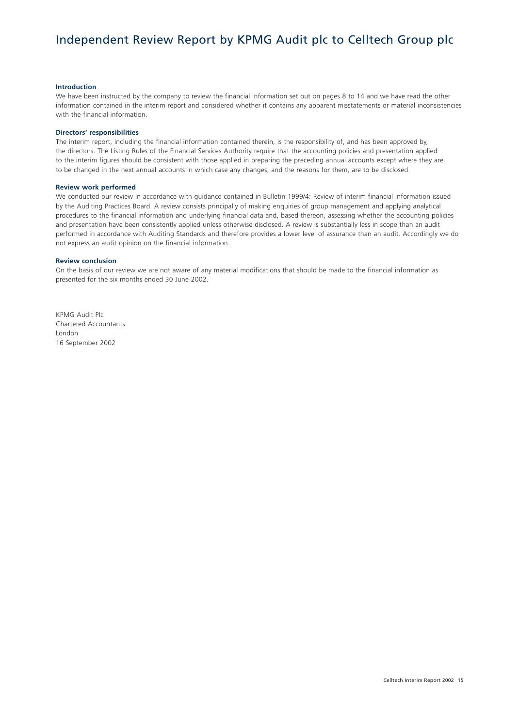# Independent Review Report by KPMG Audit plc to Celltech Group plc

### **Introduction**

We have been instructed by the company to review the financial information set out on pages 8 to 14 and we have read the other information contained in the interim report and considered whether it contains any apparent misstatements or material inconsistencies with the financial information.

#### **Directors' responsibilities**

The interim report, including the financial information contained therein, is the responsibility of, and has been approved by, the directors. The Listing Rules of the Financial Services Authority require that the accounting policies and presentation applied to the interim figures should be consistent with those applied in preparing the preceding annual accounts except where they are to be changed in the next annual accounts in which case any changes, and the reasons for them, are to be disclosed.

### **Review work performed**

We conducted our review in accordance with guidance contained in Bulletin 1999/4: Review of interim financial information issued by the Auditing Practices Board. A review consists principally of making enquiries of group management and applying analytical procedures to the financial information and underlying financial data and, based thereon, assessing whether the accounting policies and presentation have been consistently applied unless otherwise disclosed. A review is substantially less in scope than an audit performed in accordance with Auditing Standards and therefore provides a lower level of assurance than an audit. Accordingly we do not express an audit opinion on the financial information.

### **Review conclusion**

On the basis of our review we are not aware of any material modifications that should be made to the financial information as presented for the six months ended 30 June 2002.

KPMG Audit Plc Chartered Accountants London 16 September 2002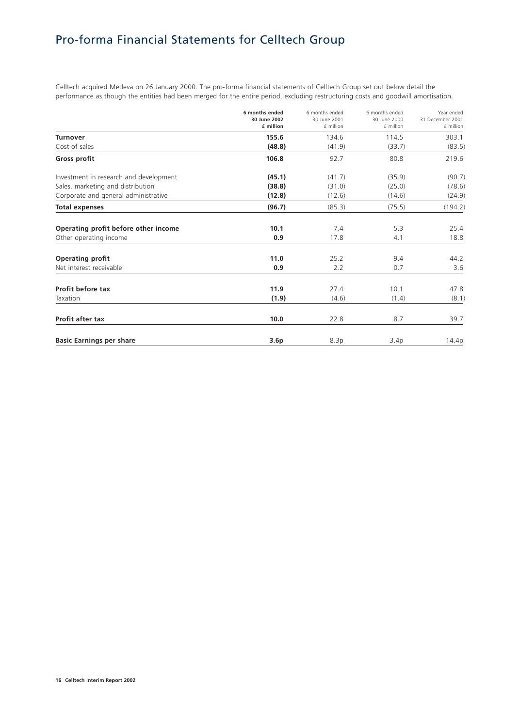# Pro-forma Financial Statements for Celltech Group

Celltech acquired Medeva on 26 January 2000. The pro-forma financial statements of Celltech Group set out below detail the performance as though the entities had been merged for the entire period, excluding restructuring costs and goodwill amortisation.

|                                        | 6 months ended<br>30 June 2002<br>£ million | 6 months ended<br>30 June 2001<br>£ million | 6 months ended<br>30 June 2000<br>£ million | Year ended<br>31 December 2001<br>£ million |
|----------------------------------------|---------------------------------------------|---------------------------------------------|---------------------------------------------|---------------------------------------------|
| <b>Turnover</b>                        | 155.6                                       | 134.6                                       | 114.5                                       | 303.1                                       |
| Cost of sales                          | (48.8)                                      | (41.9)                                      | (33.7)                                      | (83.5)                                      |
| Gross profit                           | 106.8                                       | 92.7                                        | 80.8                                        | 219.6                                       |
| Investment in research and development | (45.1)                                      | (41.7)                                      | (35.9)                                      | (90.7)                                      |
| Sales, marketing and distribution      | (38.8)                                      | (31.0)                                      | (25.0)                                      | (78.6)                                      |
| Corporate and general administrative   | (12.8)                                      | (12.6)                                      | (14.6)                                      | (24.9)                                      |
| <b>Total expenses</b>                  | (96.7)                                      | (85.3)                                      | (75.5)                                      | (194.2)                                     |
| Operating profit before other income   | 10.1                                        | 7.4                                         | 5.3                                         | 25.4                                        |
| Other operating income                 | 0.9                                         | 17.8                                        | 4.1                                         | 18.8                                        |
| <b>Operating profit</b>                | 11.0                                        | 25.2                                        | 9.4                                         | 44.2                                        |
| Net interest receivable                | 0.9                                         | 2.2                                         | 0.7                                         | 3.6                                         |
| Profit before tax                      | 11.9                                        | 27.4                                        | 10.1                                        | 47.8                                        |
| Taxation                               | (1.9)                                       | (4.6)                                       | (1.4)                                       | (8.1)                                       |
| Profit after tax                       | 10.0                                        | 22.8                                        | 8.7                                         | 39.7                                        |
| <b>Basic Earnings per share</b>        | 3.6 <sub>p</sub>                            | 8.3p                                        | 3.4p                                        | 14.4p                                       |